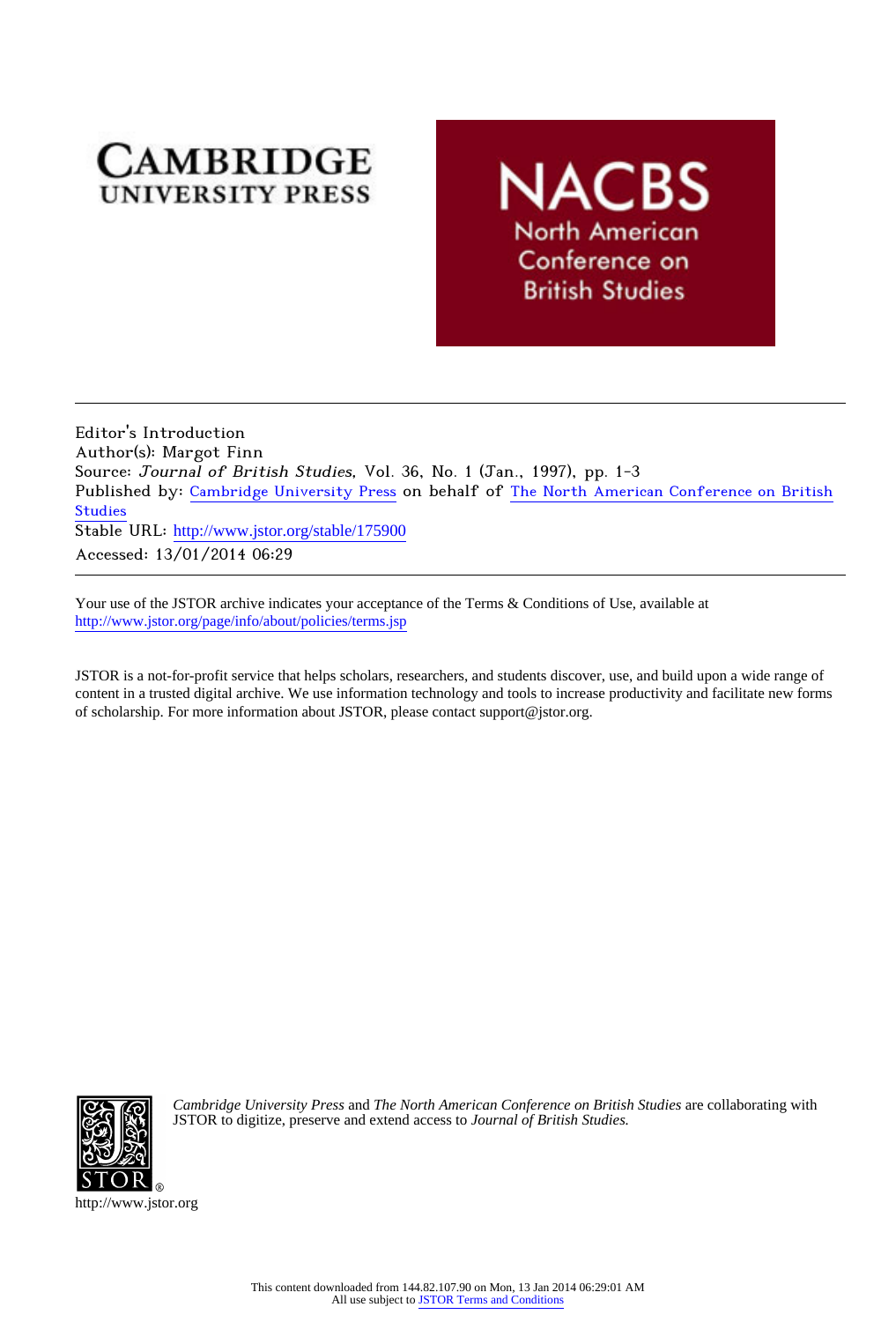## **CAMBRIDGE UNIVERSITY PRESS**

## **NACBS North American** Conference on **British Studies**

Editor's Introduction Author(s): Margot Finn Source: Journal of British Studies, Vol. 36, No. 1 (Jan., 1997), pp. 1-3 Published by: [Cambridge University Press](http://www.jstor.org/action/showPublisher?publisherCode=cup) on behalf of [The North American Conference on British](http://www.jstor.org/action/showPublisher?publisherCode=nacbs) [Studies](http://www.jstor.org/action/showPublisher?publisherCode=nacbs) Stable URL: http://www.jstor.org/stable/175900 Accessed: 13/01/2014 06:29

Your use of the JSTOR archive indicates your acceptance of the Terms & Conditions of Use, available at <http://www.jstor.org/page/info/about/policies/terms.jsp>

JSTOR is a not-for-profit service that helps scholars, researchers, and students discover, use, and build upon a wide range of content in a trusted digital archive. We use information technology and tools to increase productivity and facilitate new forms of scholarship. For more information about JSTOR, please contact support@jstor.org.



*Cambridge University Press* and *The North American Conference on British Studies* are collaborating with JSTOR to digitize, preserve and extend access to *Journal of British Studies.*

http://www.jstor.org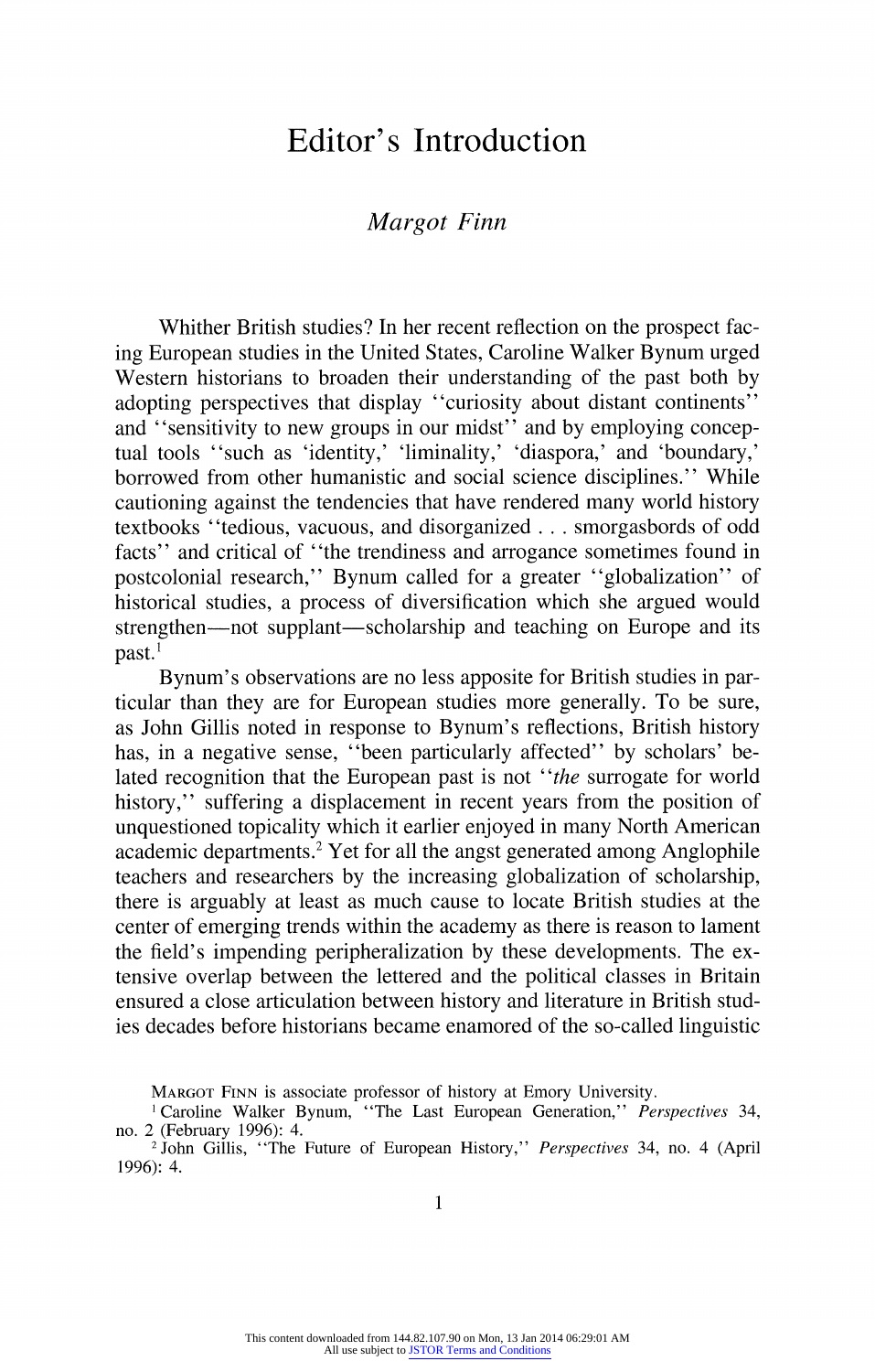## **Editor's Introduction**

## **Margot Finn**

**Whither British studies? In her recent reflection on the prospect facing European studies in the United States, Caroline Walker Bynum urged Western historians to broaden their understanding of the past both by adopting perspectives that display "curiosity about distant continents" and "sensitivity to new groups in our midst" and by employing conceptual tools "such as 'identity,' 'liminality,' 'diaspora,' and 'boundary,' borrowed from other humanistic and social science disciplines." While cautioning against the tendencies that have rendered many world history textbooks "tedious, vacuous, and disorganized ... smorgasbords of odd facts" and critical of "the trendiness and arrogance sometimes found in postcolonial research," Bynum called for a greater "globalization" of historical studies, a process of diversification which she argued would**  strengthen—not supplant—scholarship and teaching on Europe and its **past.1** 

**Bynum's observations are no less apposite for British studies in particular than they are for European studies more generally. To be sure, as John Gillis noted in response to Bynum's reflections, British history has, in a negative sense, "been particularly affected" by scholars' belated recognition that the European past is not "the surrogate for world history," suffering a displacement in recent years from the position of unquestioned topicality which it earlier enjoyed in many North American academic departments.2 Yet for all the angst generated among Anglophile teachers and researchers by the increasing globalization of scholarship, there is arguably at least as much cause to locate British studies at the center of emerging trends within the academy as there is reason to lament the field's impending peripheralization by these developments. The extensive overlap between the lettered and the political classes in Britain ensured a close articulation between history and literature in British studies decades before historians became enamored of the so-called linguistic** 

**MARGOT FINN is associate professor of history at Emory University.** 

**<sup>&#</sup>x27;Caroline Walker Bynum, "The Last European Generation," Perspectives 34, no. 2 (February 1996): 4.** 

<sup>&</sup>lt;sup>2</sup> John Gillis, "The Future of European History," *Perspectives* 34, no. 4 (April **1996): 4.**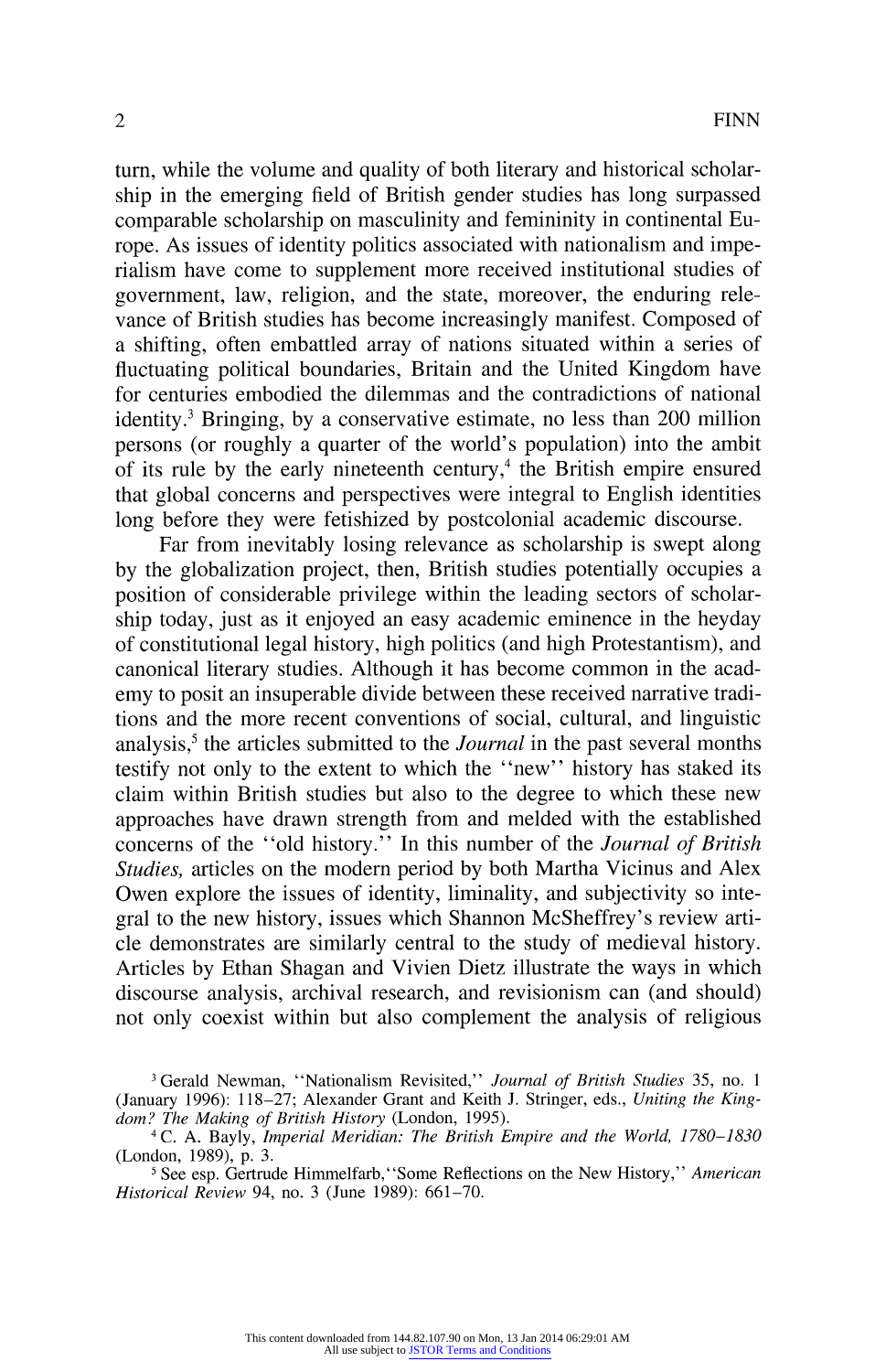**turn, while the volume and quality of both literary and historical scholarship in the emerging field of British gender studies has long surpassed comparable scholarship on masculinity and femininity in continental Europe. As issues of identity politics associated with nationalism and imperialism have come to supplement more received institutional studies of government, law, religion, and the state, moreover, the enduring relevance of British studies has become increasingly manifest. Composed of a shifting, often embattled array of nations situated within a series of fluctuating political boundaries, Britain and the United Kingdom have for centuries embodied the dilemmas and the contradictions of national identity.3 Bringing, by a conservative estimate, no less than 200 million persons (or roughly a quarter of the world's population) into the ambit**  of its rule by the early nineteenth century,<sup>4</sup> the British empire ensured **that global concerns and perspectives were integral to English identities long before they were fetishized by postcolonial academic discourse.** 

**Far from inevitably losing relevance as scholarship is swept along by the globalization project, then, British studies potentially occupies a position of considerable privilege within the leading sectors of scholarship today, just as it enjoyed an easy academic eminence in the heyday of constitutional legal history, high politics (and high Protestantism), and canonical literary studies. Although it has become common in the academy to posit an insuperable divide between these received narrative traditions and the more recent conventions of social, cultural, and linguistic**  analysis,<sup>5</sup> the articles submitted to the *Journal* in the past several months **testify not only to the extent to which the "new" history has staked its claim within British studies but also to the degree to which these new approaches have drawn strength from and melded with the established concerns of the "old history." In this number of the Journal of British Studies, articles on the modern period by both Martha Vicinus and Alex Owen explore the issues of identity, liminality, and subjectivity so integral to the new history, issues which Shannon McSheffrey's review article demonstrates are similarly central to the study of medieval history. Articles by Ethan Shagan and Vivien Dietz illustrate the ways in which discourse analysis, archival research, and revisionism can (and should) not only coexist within but also complement the analysis of religious** 

**<sup>3</sup>Gerald Newman, "Nationalism Revisited," Journal of British Studies 35, no. 1 (January 1996): 118-27; Alexander Grant and Keith J. Stringer, eds., Uniting the Kingdom? The Making of British History (London, 1995).** 

**<sup>4</sup>C. A. Bayly, Imperial Meridian: The British Empire and the World, 1780-1830 (London, 1989), p. 3.** 

**<sup>5</sup> See esp. Gertrude Himmelfarb,"Some Reflections on the New History," American Historical Review 94, no. 3 (June 1989): 661-70.**